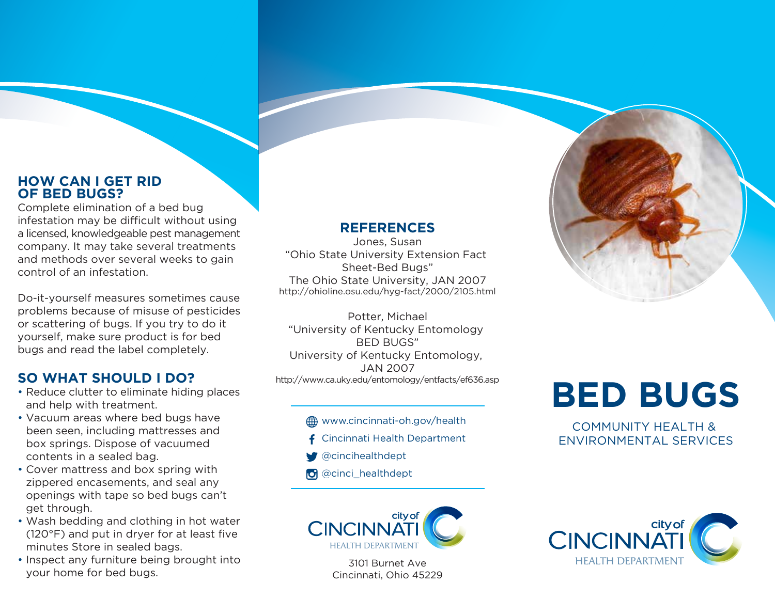### **HOW CAN I GET RID OF BED BUGS?**

Complete elimination of a bed bug infestation may be difficult without using a licensed, knowledgeable pest management company. It may take several treatments and methods over several weeks to gain control of an infestation.

Do-it-yourself measures sometimes cause problems because of misuse of pesticides or scattering of bugs. If you try to do it yourself, make sure product is for bed bugs and read the label completely.

# **SO WHAT SHOULD I DO?**

- Reduce clutter to eliminate hiding places and help with treatment.
- Vacuum areas where bed bugs have been seen, including mattresses and box springs. Dispose of vacuumed contents in a sealed bag.
- Cover mattress and box spring with zippered encasements, and seal any openings with tape so bed bugs can't get through.
- Wash bedding and clothing in hot water (120°F) and put in dryer for at least five minutes Store in sealed bags.
- Inspect any furniture being brought into your home for bed bugs.

## **REFERENCES**

Jones, Susan "Ohio State University Extension Fact Sheet-Bed Bugs" The Ohio State University, JAN 2007 http://ohioline.osu.edu/hyg-fact/2000/2105.html

Potter, Michael "University of Kentucky Entomology BED BUGS" University of Kentucky Entomology, JAN 2007 http://www.ca.uky.edu/entomology/entfacts/ef636.asp

#### **44 www.cincinnati-oh.gov/health**

- **f** Cincinnati Health Department
- @cincihealthdept
- **O** @cinci\_healthdept



# **BED BUGS**

COMMUNITY HEALTH & ENVIRONMENTAL SERVICES





3101 Burnet Ave Cincinnati, Ohio 45229